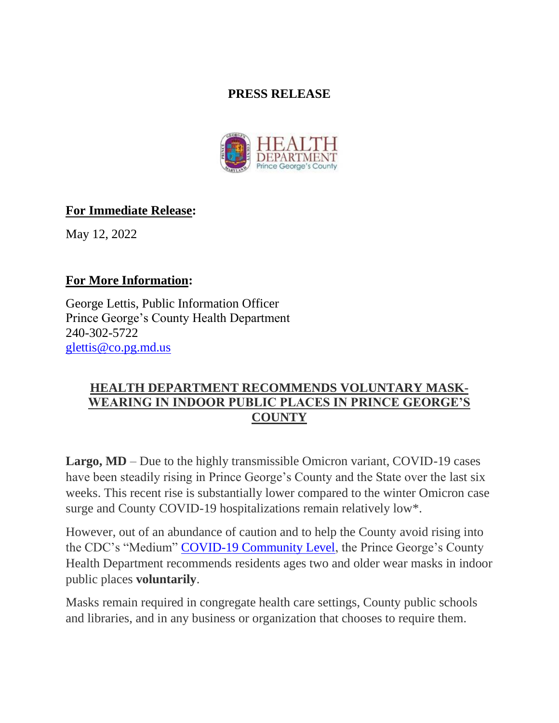## **PRESS RELEASE**



## **For Immediate Release:**

May 12, 2022

## **For More Information:**

George Lettis, Public Information Officer Prince George's County Health Department 240-302-5722 [glettis@co.pg.md.us](mailto:glettis@co.pg.md.us)

## **HEALTH DEPARTMENT RECOMMENDS VOLUNTARY MASK-WEARING IN INDOOR PUBLIC PLACES IN PRINCE GEORGE'S COUNTY**

**Largo, MD** – Due to the highly transmissible Omicron variant, COVID-19 cases have been steadily rising in Prince George's County and the State over the last six weeks. This recent rise is substantially lower compared to the winter Omicron case surge and County COVID-19 hospitalizations remain relatively low\*.

However, out of an abundance of caution and to help the County avoid rising into the CDC's "Medium" [COVID-19 Community Level,](https://www.cdc.gov/coronavirus/2019-ncov/science/community-levels.html#anchor_1646419198998) the Prince George's County Health Department recommends residents ages two and older wear masks in indoor public places **voluntarily**.

Masks remain required in congregate health care settings, County public schools and libraries, and in any business or organization that chooses to require them.